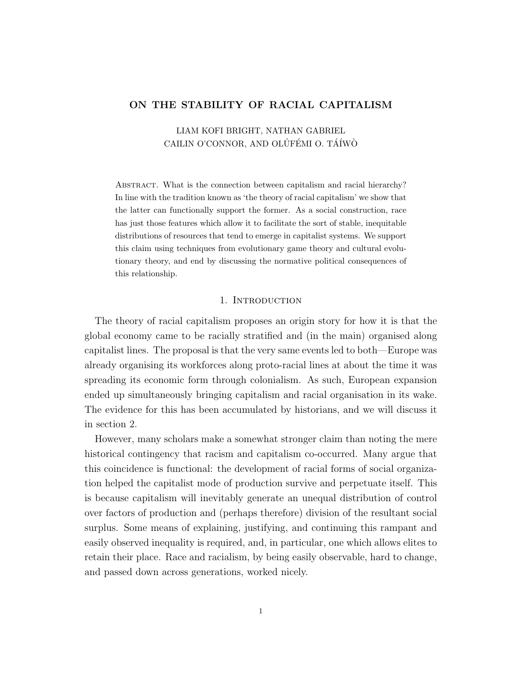# ON THE STABILITY OF RACIAL CAPITALISM

LIAM KOFI BRIGHT, NATHAN GABRIEL CAILIN O'CONNOR, AND OLÚFÉMI O. TÁÍWÒ

Abstract. What is the connection between capitalism and racial hierarchy? In line with the tradition known as 'the theory of racial capitalism' we show that the latter can functionally support the former. As a social construction, race has just those features which allow it to facilitate the sort of stable, inequitable distributions of resources that tend to emerge in capitalist systems. We support this claim using techniques from evolutionary game theory and cultural evolutionary theory, and end by discussing the normative political consequences of this relationship.

# 1. INTRODUCTION

The theory of racial capitalism proposes an origin story for how it is that the global economy came to be racially stratified and (in the main) organised along capitalist lines. The proposal is that the very same events led to both—Europe was already organising its workforces along proto-racial lines at about the time it was spreading its economic form through colonialism. As such, European expansion ended up simultaneously bringing capitalism and racial organisation in its wake. The evidence for this has been accumulated by historians, and we will discuss it in section 2.

However, many scholars make a somewhat stronger claim than noting the mere historical contingency that racism and capitalism co-occurred. Many argue that this coincidence is functional: the development of racial forms of social organization helped the capitalist mode of production survive and perpetuate itself. This is because capitalism will inevitably generate an unequal distribution of control over factors of production and (perhaps therefore) division of the resultant social surplus. Some means of explaining, justifying, and continuing this rampant and easily observed inequality is required, and, in particular, one which allows elites to retain their place. Race and racialism, by being easily observable, hard to change, and passed down across generations, worked nicely.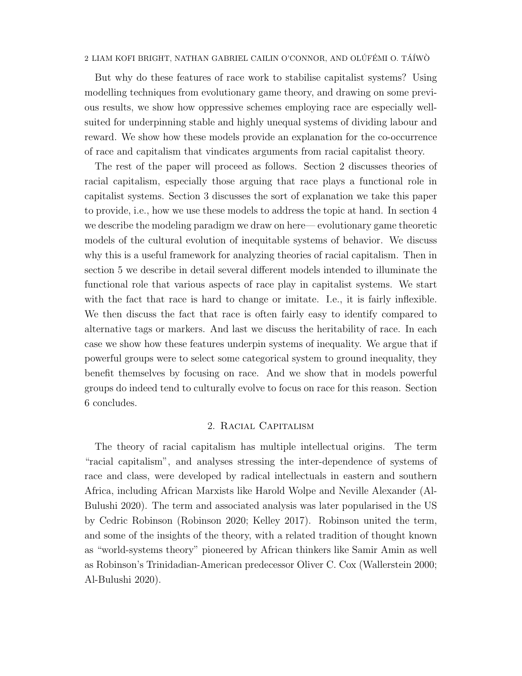But why do these features of race work to stabilise capitalist systems? Using modelling techniques from evolutionary game theory, and drawing on some previous results, we show how oppressive schemes employing race are especially wellsuited for underpinning stable and highly unequal systems of dividing labour and reward. We show how these models provide an explanation for the co-occurrence of race and capitalism that vindicates arguments from racial capitalist theory.

The rest of the paper will proceed as follows. Section 2 discusses theories of racial capitalism, especially those arguing that race plays a functional role in capitalist systems. Section 3 discusses the sort of explanation we take this paper to provide, i.e., how we use these models to address the topic at hand. In section 4 we describe the modeling paradigm we draw on here— evolutionary game theoretic models of the cultural evolution of inequitable systems of behavior. We discuss why this is a useful framework for analyzing theories of racial capitalism. Then in section 5 we describe in detail several different models intended to illuminate the functional role that various aspects of race play in capitalist systems. We start with the fact that race is hard to change or imitate. I.e., it is fairly inflexible. We then discuss the fact that race is often fairly easy to identify compared to alternative tags or markers. And last we discuss the heritability of race. In each case we show how these features underpin systems of inequality. We argue that if powerful groups were to select some categorical system to ground inequality, they benefit themselves by focusing on race. And we show that in models powerful groups do indeed tend to culturally evolve to focus on race for this reason. Section 6 concludes.

# 2. Racial Capitalism

The theory of racial capitalism has multiple intellectual origins. The term "racial capitalism", and analyses stressing the inter-dependence of systems of race and class, were developed by radical intellectuals in eastern and southern Africa, including African Marxists like Harold Wolpe and Neville Alexander (Al-Bulushi 2020). The term and associated analysis was later popularised in the US by Cedric Robinson (Robinson 2020; Kelley 2017). Robinson united the term, and some of the insights of the theory, with a related tradition of thought known as "world-systems theory" pioneered by African thinkers like Samir Amin as well as Robinson's Trinidadian-American predecessor Oliver C. Cox (Wallerstein 2000; Al-Bulushi 2020).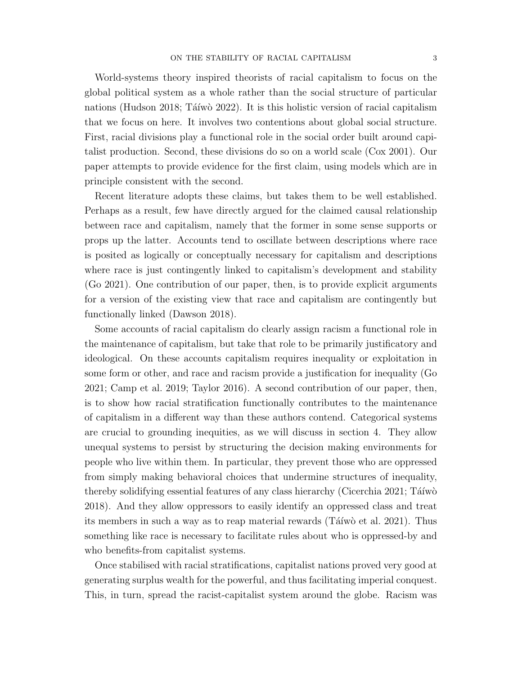World-systems theory inspired theorists of racial capitalism to focus on the global political system as a whole rather than the social structure of particular nations (Hudson 2018; Táíwò 2022). It is this holistic version of racial capitalism that we focus on here. It involves two contentions about global social structure. First, racial divisions play a functional role in the social order built around capitalist production. Second, these divisions do so on a world scale (Cox 2001). Our paper attempts to provide evidence for the first claim, using models which are in principle consistent with the second.

Recent literature adopts these claims, but takes them to be well established. Perhaps as a result, few have directly argued for the claimed causal relationship between race and capitalism, namely that the former in some sense supports or props up the latter. Accounts tend to oscillate between descriptions where race is posited as logically or conceptually necessary for capitalism and descriptions where race is just contingently linked to capitalism's development and stability (Go 2021). One contribution of our paper, then, is to provide explicit arguments for a version of the existing view that race and capitalism are contingently but functionally linked (Dawson 2018).

Some accounts of racial capitalism do clearly assign racism a functional role in the maintenance of capitalism, but take that role to be primarily justificatory and ideological. On these accounts capitalism requires inequality or exploitation in some form or other, and race and racism provide a justification for inequality (Go 2021; Camp et al. 2019; Taylor 2016). A second contribution of our paper, then, is to show how racial stratification functionally contributes to the maintenance of capitalism in a different way than these authors contend. Categorical systems are crucial to grounding inequities, as we will discuss in section 4. They allow unequal systems to persist by structuring the decision making environments for people who live within them. In particular, they prevent those who are oppressed from simply making behavioral choices that undermine structures of inequality, thereby solidifying essential features of any class hierarchy (Cicerchia 2021; Táíwò 2018). And they allow oppressors to easily identify an oppressed class and treat its members in such a way as to reap material rewards (Táíwò et al. 2021). Thus something like race is necessary to facilitate rules about who is oppressed-by and who benefits-from capitalist systems.

Once stabilised with racial stratifications, capitalist nations proved very good at generating surplus wealth for the powerful, and thus facilitating imperial conquest. This, in turn, spread the racist-capitalist system around the globe. Racism was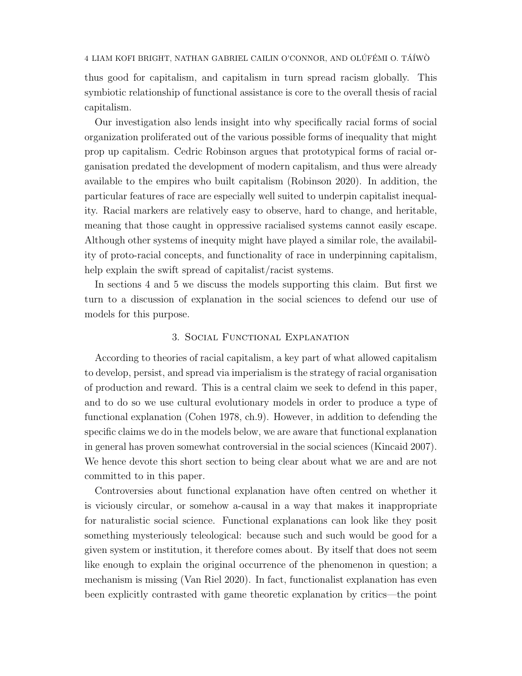thus good for capitalism, and capitalism in turn spread racism globally. This symbiotic relationship of functional assistance is core to the overall thesis of racial capitalism.

Our investigation also lends insight into why specifically racial forms of social organization proliferated out of the various possible forms of inequality that might prop up capitalism. Cedric Robinson argues that prototypical forms of racial organisation predated the development of modern capitalism, and thus were already available to the empires who built capitalism (Robinson 2020). In addition, the particular features of race are especially well suited to underpin capitalist inequality. Racial markers are relatively easy to observe, hard to change, and heritable, meaning that those caught in oppressive racialised systems cannot easily escape. Although other systems of inequity might have played a similar role, the availability of proto-racial concepts, and functionality of race in underpinning capitalism, help explain the swift spread of capitalist/racist systems.

In sections 4 and 5 we discuss the models supporting this claim. But first we turn to a discussion of explanation in the social sciences to defend our use of models for this purpose.

# 3. Social Functional Explanation

According to theories of racial capitalism, a key part of what allowed capitalism to develop, persist, and spread via imperialism is the strategy of racial organisation of production and reward. This is a central claim we seek to defend in this paper, and to do so we use cultural evolutionary models in order to produce a type of functional explanation (Cohen 1978, ch.9). However, in addition to defending the specific claims we do in the models below, we are aware that functional explanation in general has proven somewhat controversial in the social sciences (Kincaid 2007). We hence devote this short section to being clear about what we are and are not committed to in this paper.

Controversies about functional explanation have often centred on whether it is viciously circular, or somehow a-causal in a way that makes it inappropriate for naturalistic social science. Functional explanations can look like they posit something mysteriously teleological: because such and such would be good for a given system or institution, it therefore comes about. By itself that does not seem like enough to explain the original occurrence of the phenomenon in question; a mechanism is missing (Van Riel 2020). In fact, functionalist explanation has even been explicitly contrasted with game theoretic explanation by critics—the point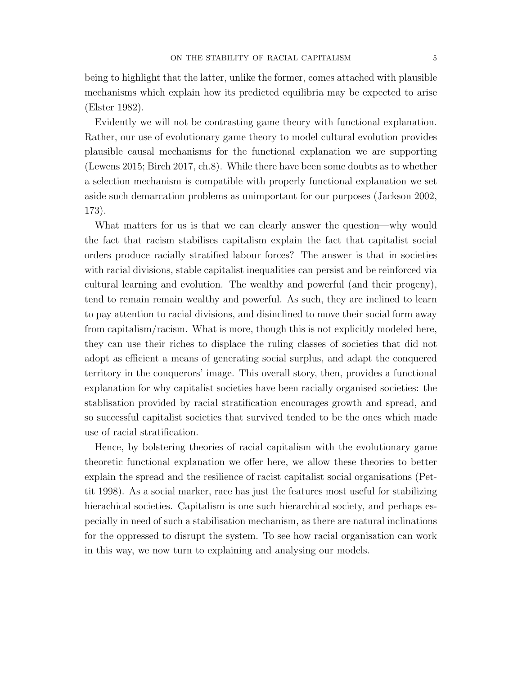being to highlight that the latter, unlike the former, comes attached with plausible mechanisms which explain how its predicted equilibria may be expected to arise (Elster 1982).

Evidently we will not be contrasting game theory with functional explanation. Rather, our use of evolutionary game theory to model cultural evolution provides plausible causal mechanisms for the functional explanation we are supporting (Lewens 2015; Birch 2017, ch.8). While there have been some doubts as to whether a selection mechanism is compatible with properly functional explanation we set aside such demarcation problems as unimportant for our purposes (Jackson 2002, 173).

What matters for us is that we can clearly answer the question—why would the fact that racism stabilises capitalism explain the fact that capitalist social orders produce racially stratified labour forces? The answer is that in societies with racial divisions, stable capitalist inequalities can persist and be reinforced via cultural learning and evolution. The wealthy and powerful (and their progeny), tend to remain remain wealthy and powerful. As such, they are inclined to learn to pay attention to racial divisions, and disinclined to move their social form away from capitalism/racism. What is more, though this is not explicitly modeled here, they can use their riches to displace the ruling classes of societies that did not adopt as efficient a means of generating social surplus, and adapt the conquered territory in the conquerors' image. This overall story, then, provides a functional explanation for why capitalist societies have been racially organised societies: the stablisation provided by racial stratification encourages growth and spread, and so successful capitalist societies that survived tended to be the ones which made use of racial stratification.

Hence, by bolstering theories of racial capitalism with the evolutionary game theoretic functional explanation we offer here, we allow these theories to better explain the spread and the resilience of racist capitalist social organisations (Pettit 1998). As a social marker, race has just the features most useful for stabilizing hierachical societies. Capitalism is one such hierarchical society, and perhaps especially in need of such a stabilisation mechanism, as there are natural inclinations for the oppressed to disrupt the system. To see how racial organisation can work in this way, we now turn to explaining and analysing our models.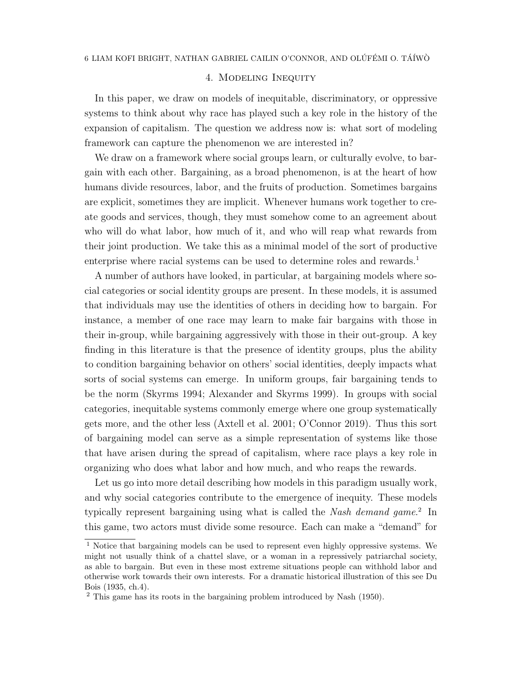# 4. Modeling Inequity

In this paper, we draw on models of inequitable, discriminatory, or oppressive systems to think about why race has played such a key role in the history of the expansion of capitalism. The question we address now is: what sort of modeling framework can capture the phenomenon we are interested in?

We draw on a framework where social groups learn, or culturally evolve, to bargain with each other. Bargaining, as a broad phenomenon, is at the heart of how humans divide resources, labor, and the fruits of production. Sometimes bargains are explicit, sometimes they are implicit. Whenever humans work together to create goods and services, though, they must somehow come to an agreement about who will do what labor, how much of it, and who will reap what rewards from their joint production. We take this as a minimal model of the sort of productive enterprise where racial systems can be used to determine roles and rewards.<sup>1</sup>

A number of authors have looked, in particular, at bargaining models where social categories or social identity groups are present. In these models, it is assumed that individuals may use the identities of others in deciding how to bargain. For instance, a member of one race may learn to make fair bargains with those in their in-group, while bargaining aggressively with those in their out-group. A key finding in this literature is that the presence of identity groups, plus the ability to condition bargaining behavior on others' social identities, deeply impacts what sorts of social systems can emerge. In uniform groups, fair bargaining tends to be the norm (Skyrms 1994; Alexander and Skyrms 1999). In groups with social categories, inequitable systems commonly emerge where one group systematically gets more, and the other less (Axtell et al. 2001; O'Connor 2019). Thus this sort of bargaining model can serve as a simple representation of systems like those that have arisen during the spread of capitalism, where race plays a key role in organizing who does what labor and how much, and who reaps the rewards.

Let us go into more detail describing how models in this paradigm usually work, and why social categories contribute to the emergence of inequity. These models typically represent bargaining using what is called the Nash demand game.<sup>2</sup> In this game, two actors must divide some resource. Each can make a "demand" for

 $1$  Notice that bargaining models can be used to represent even highly oppressive systems. We might not usually think of a chattel slave, or a woman in a repressively patriarchal society, as able to bargain. But even in these most extreme situations people can withhold labor and otherwise work towards their own interests. For a dramatic historical illustration of this see Du Bois (1935, ch.4).

<sup>2</sup> This game has its roots in the bargaining problem introduced by Nash (1950).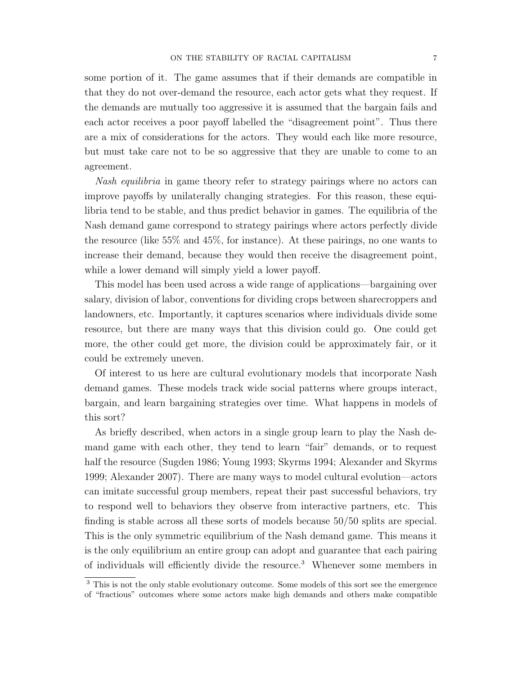some portion of it. The game assumes that if their demands are compatible in that they do not over-demand the resource, each actor gets what they request. If the demands are mutually too aggressive it is assumed that the bargain fails and each actor receives a poor payoff labelled the "disagreement point". Thus there are a mix of considerations for the actors. They would each like more resource, but must take care not to be so aggressive that they are unable to come to an agreement.

Nash equilibria in game theory refer to strategy pairings where no actors can improve payoffs by unilaterally changing strategies. For this reason, these equilibria tend to be stable, and thus predict behavior in games. The equilibria of the Nash demand game correspond to strategy pairings where actors perfectly divide the resource (like 55% and 45%, for instance). At these pairings, no one wants to increase their demand, because they would then receive the disagreement point, while a lower demand will simply yield a lower payoff.

This model has been used across a wide range of applications—bargaining over salary, division of labor, conventions for dividing crops between sharecroppers and landowners, etc. Importantly, it captures scenarios where individuals divide some resource, but there are many ways that this division could go. One could get more, the other could get more, the division could be approximately fair, or it could be extremely uneven.

Of interest to us here are cultural evolutionary models that incorporate Nash demand games. These models track wide social patterns where groups interact, bargain, and learn bargaining strategies over time. What happens in models of this sort?

As briefly described, when actors in a single group learn to play the Nash demand game with each other, they tend to learn "fair" demands, or to request half the resource (Sugden 1986; Young 1993; Skyrms 1994; Alexander and Skyrms 1999; Alexander 2007). There are many ways to model cultural evolution—actors can imitate successful group members, repeat their past successful behaviors, try to respond well to behaviors they observe from interactive partners, etc. This finding is stable across all these sorts of models because 50/50 splits are special. This is the only symmetric equilibrium of the Nash demand game. This means it is the only equilibrium an entire group can adopt and guarantee that each pairing of individuals will efficiently divide the resource.<sup>3</sup> Whenever some members in

<sup>3</sup> This is not the only stable evolutionary outcome. Some models of this sort see the emergence of "fractious" outcomes where some actors make high demands and others make compatible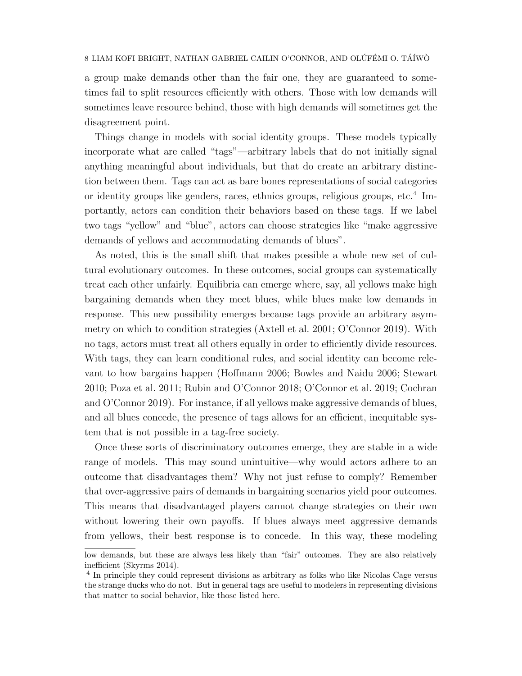a group make demands other than the fair one, they are guaranteed to sometimes fail to split resources efficiently with others. Those with low demands will sometimes leave resource behind, those with high demands will sometimes get the disagreement point.

Things change in models with social identity groups. These models typically incorporate what are called "tags"—arbitrary labels that do not initially signal anything meaningful about individuals, but that do create an arbitrary distinction between them. Tags can act as bare bones representations of social categories or identity groups like genders, races, ethnics groups, religious groups, etc.<sup>4</sup> Importantly, actors can condition their behaviors based on these tags. If we label two tags "yellow" and "blue", actors can choose strategies like "make aggressive demands of yellows and accommodating demands of blues".

As noted, this is the small shift that makes possible a whole new set of cultural evolutionary outcomes. In these outcomes, social groups can systematically treat each other unfairly. Equilibria can emerge where, say, all yellows make high bargaining demands when they meet blues, while blues make low demands in response. This new possibility emerges because tags provide an arbitrary asymmetry on which to condition strategies (Axtell et al. 2001; O'Connor 2019). With no tags, actors must treat all others equally in order to efficiently divide resources. With tags, they can learn conditional rules, and social identity can become relevant to how bargains happen (Hoffmann 2006; Bowles and Naidu 2006; Stewart 2010; Poza et al. 2011; Rubin and O'Connor 2018; O'Connor et al. 2019; Cochran and O'Connor 2019). For instance, if all yellows make aggressive demands of blues, and all blues concede, the presence of tags allows for an efficient, inequitable system that is not possible in a tag-free society.

Once these sorts of discriminatory outcomes emerge, they are stable in a wide range of models. This may sound unintuitive—why would actors adhere to an outcome that disadvantages them? Why not just refuse to comply? Remember that over-aggressive pairs of demands in bargaining scenarios yield poor outcomes. This means that disadvantaged players cannot change strategies on their own without lowering their own payoffs. If blues always meet aggressive demands from yellows, their best response is to concede. In this way, these modeling

low demands, but these are always less likely than "fair" outcomes. They are also relatively inefficient (Skyrms 2014).

<sup>&</sup>lt;sup>4</sup> In principle they could represent divisions as arbitrary as folks who like Nicolas Cage versus the strange ducks who do not. But in general tags are useful to modelers in representing divisions that matter to social behavior, like those listed here.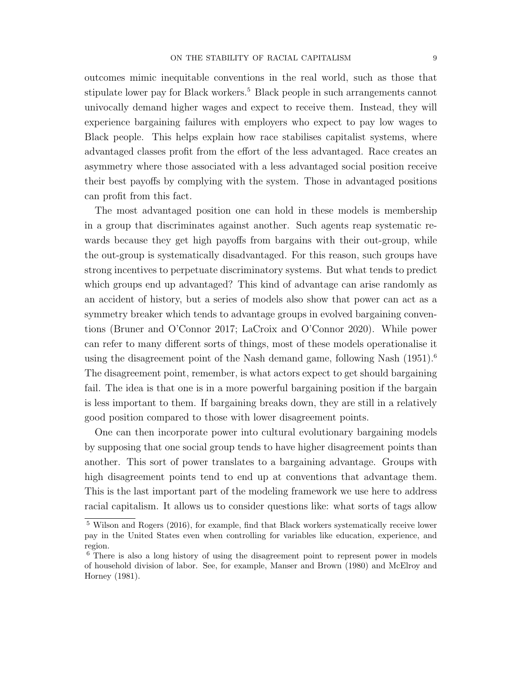outcomes mimic inequitable conventions in the real world, such as those that stipulate lower pay for Black workers.<sup>5</sup> Black people in such arrangements cannot univocally demand higher wages and expect to receive them. Instead, they will experience bargaining failures with employers who expect to pay low wages to Black people. This helps explain how race stabilises capitalist systems, where advantaged classes profit from the effort of the less advantaged. Race creates an asymmetry where those associated with a less advantaged social position receive their best payoffs by complying with the system. Those in advantaged positions can profit from this fact.

The most advantaged position one can hold in these models is membership in a group that discriminates against another. Such agents reap systematic rewards because they get high payoffs from bargains with their out-group, while the out-group is systematically disadvantaged. For this reason, such groups have strong incentives to perpetuate discriminatory systems. But what tends to predict which groups end up advantaged? This kind of advantage can arise randomly as an accident of history, but a series of models also show that power can act as a symmetry breaker which tends to advantage groups in evolved bargaining conventions (Bruner and O'Connor 2017; LaCroix and O'Connor 2020). While power can refer to many different sorts of things, most of these models operationalise it using the disagreement point of the Nash demand game, following Nash  $(1951)^6$ The disagreement point, remember, is what actors expect to get should bargaining fail. The idea is that one is in a more powerful bargaining position if the bargain is less important to them. If bargaining breaks down, they are still in a relatively good position compared to those with lower disagreement points.

One can then incorporate power into cultural evolutionary bargaining models by supposing that one social group tends to have higher disagreement points than another. This sort of power translates to a bargaining advantage. Groups with high disagreement points tend to end up at conventions that advantage them. This is the last important part of the modeling framework we use here to address racial capitalism. It allows us to consider questions like: what sorts of tags allow

<sup>5</sup> Wilson and Rogers (2016), for example, find that Black workers systematically receive lower pay in the United States even when controlling for variables like education, experience, and region.

<sup>6</sup> There is also a long history of using the disagreement point to represent power in models of household division of labor. See, for example, Manser and Brown (1980) and McElroy and Horney (1981).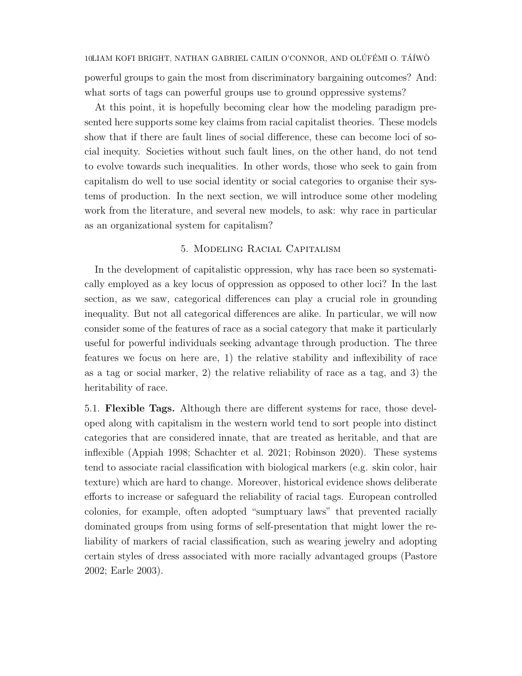powerful groups to gain the most from discriminatory bargaining outcomes? And: what sorts of tags can powerful groups use to ground oppressive systems?

At this point, it is hopefully becoming clear how the modeling paradigm presented here supports some key claims from racial capitalist theories. These models show that if there are fault lines of social difference, these can become loci of social inequity. Societies without such fault lines, on the other hand, do not tend to evolve towards such inequalities. In other words, those who seek to gain from capitalism do well to use social identity or social categories to organise their systems of production. In the next section, we will introduce some other modeling work from the literature, and several new models, to ask: why race in particular as an organizational system for capitalism?

# 5. Modeling Racial Capitalism

In the development of capitalistic oppression, why has race been so systematically employed as a key locus of oppression as opposed to other loci? In the last section, as we saw, categorical differences can play a crucial role in grounding inequality. But not all categorical differences are alike. In particular, we will now consider some of the features of race as a social category that make it particularly useful for powerful individuals seeking advantage through production. The three features we focus on here are, 1) the relative stability and inflexibility of race as a tag or social marker, 2) the relative reliability of race as a tag, and 3) the heritability of race.

5.1. Flexible Tags. Although there are different systems for race, those developed along with capitalism in the western world tend to sort people into distinct categories that are considered innate, that are treated as heritable, and that are inflexible (Appiah 1998; Schachter et al. 2021; Robinson 2020). These systems tend to associate racial classification with biological markers (e.g. skin color, hair texture) which are hard to change. Moreover, historical evidence shows deliberate efforts to increase or safeguard the reliability of racial tags. European controlled colonies, for example, often adopted "sumptuary laws" that prevented racially dominated groups from using forms of self-presentation that might lower the reliability of markers of racial classification, such as wearing jewelry and adopting certain styles of dress associated with more racially advantaged groups (Pastore 2002; Earle 2003).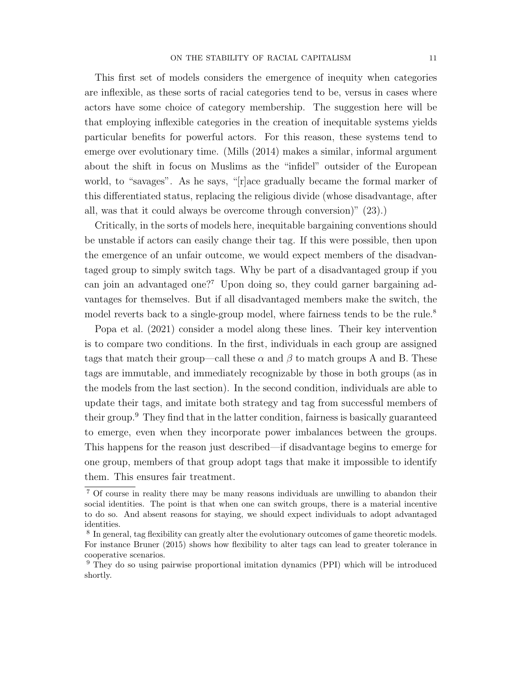This first set of models considers the emergence of inequity when categories are inflexible, as these sorts of racial categories tend to be, versus in cases where actors have some choice of category membership. The suggestion here will be that employing inflexible categories in the creation of inequitable systems yields particular benefits for powerful actors. For this reason, these systems tend to emerge over evolutionary time. (Mills (2014) makes a similar, informal argument about the shift in focus on Muslims as the "infidel" outsider of the European world, to "savages". As he says, "[r]ace gradually became the formal marker of this differentiated status, replacing the religious divide (whose disadvantage, after all, was that it could always be overcome through conversion)" (23).)

Critically, in the sorts of models here, inequitable bargaining conventions should be unstable if actors can easily change their tag. If this were possible, then upon the emergence of an unfair outcome, we would expect members of the disadvantaged group to simply switch tags. Why be part of a disadvantaged group if you can join an advantaged one?<sup>7</sup> Upon doing so, they could garner bargaining advantages for themselves. But if all disadvantaged members make the switch, the model reverts back to a single-group model, where fairness tends to be the rule.<sup>8</sup>

Popa et al. (2021) consider a model along these lines. Their key intervention is to compare two conditions. In the first, individuals in each group are assigned tags that match their group—call these  $\alpha$  and  $\beta$  to match groups A and B. These tags are immutable, and immediately recognizable by those in both groups (as in the models from the last section). In the second condition, individuals are able to update their tags, and imitate both strategy and tag from successful members of their group.<sup>9</sup> They find that in the latter condition, fairness is basically guaranteed to emerge, even when they incorporate power imbalances between the groups. This happens for the reason just described—if disadvantage begins to emerge for one group, members of that group adopt tags that make it impossible to identify them. This ensures fair treatment.

<sup>7</sup> Of course in reality there may be many reasons individuals are unwilling to abandon their social identities. The point is that when one can switch groups, there is a material incentive to do so. And absent reasons for staying, we should expect individuals to adopt advantaged identities.

<sup>&</sup>lt;sup>8</sup> In general, tag flexibility can greatly alter the evolutionary outcomes of game theoretic models. For instance Bruner (2015) shows how flexibility to alter tags can lead to greater tolerance in cooperative scenarios.

<sup>9</sup> They do so using pairwise proportional imitation dynamics (PPI) which will be introduced shortly.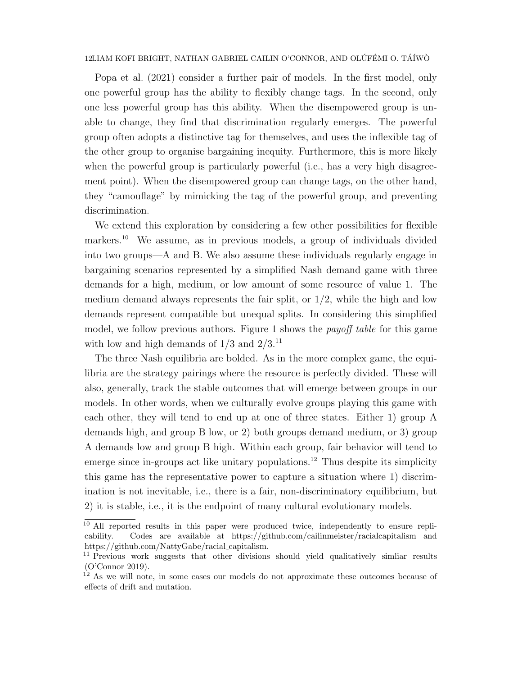Popa et al. (2021) consider a further pair of models. In the first model, only one powerful group has the ability to flexibly change tags. In the second, only one less powerful group has this ability. When the disempowered group is unable to change, they find that discrimination regularly emerges. The powerful group often adopts a distinctive tag for themselves, and uses the inflexible tag of the other group to organise bargaining inequity. Furthermore, this is more likely when the powerful group is particularly powerful (i.e., has a very high disagreement point). When the disempowered group can change tags, on the other hand, they "camouflage" by mimicking the tag of the powerful group, and preventing discrimination.

We extend this exploration by considering a few other possibilities for flexible markers.<sup>10</sup> We assume, as in previous models, a group of individuals divided into two groups—A and B. We also assume these individuals regularly engage in bargaining scenarios represented by a simplified Nash demand game with three demands for a high, medium, or low amount of some resource of value 1. The medium demand always represents the fair split, or  $1/2$ , while the high and low demands represent compatible but unequal splits. In considering this simplified model, we follow previous authors. Figure 1 shows the payoff table for this game with low and high demands of  $1/3$  and  $2/3$ .<sup>11</sup>

The three Nash equilibria are bolded. As in the more complex game, the equilibria are the strategy pairings where the resource is perfectly divided. These will also, generally, track the stable outcomes that will emerge between groups in our models. In other words, when we culturally evolve groups playing this game with each other, they will tend to end up at one of three states. Either 1) group A demands high, and group B low, or 2) both groups demand medium, or 3) group A demands low and group B high. Within each group, fair behavior will tend to emerge since in-groups act like unitary populations.<sup>12</sup> Thus despite its simplicity this game has the representative power to capture a situation where 1) discrimination is not inevitable, i.e., there is a fair, non-discriminatory equilibrium, but 2) it is stable, i.e., it is the endpoint of many cultural evolutionary models.

<sup>&</sup>lt;sup>10</sup> All reported results in this paper were produced twice, independently to ensure replicability. Codes are available at https://github.com/cailinmeister/racialcapitalism and https://github.com/NattyGabe/racial capitalism.

<sup>&</sup>lt;sup>11</sup> Previous work suggests that other divisions should yield qualitatively similiar results (O'Connor 2019).

 $1<sup>2</sup>$  As we will note, in some cases our models do not approximate these outcomes because of effects of drift and mutation.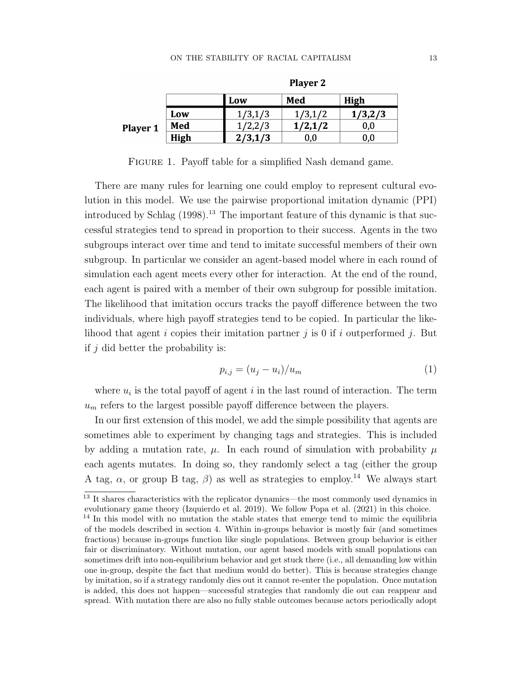|                 |      | Low             | Med     | High    |
|-----------------|------|-----------------|---------|---------|
| <b>Player 1</b> | Low  |                 | ./2     | 1/3,2/3 |
|                 | Med  |                 | 1/2,1/2 | 0,0     |
|                 | High | $2/3$ .<br>.1/3 | 0.0     | 0,0     |

**Player 2** 

FIGURE 1. Payoff table for a simplified Nash demand game.

There are many rules for learning one could employ to represent cultural evolution in this model. We use the pairwise proportional imitation dynamic (PPI) introduced by Schlag  $(1998)$ .<sup>13</sup> The important feature of this dynamic is that successful strategies tend to spread in proportion to their success. Agents in the two subgroups interact over time and tend to imitate successful members of their own subgroup. In particular we consider an agent-based model where in each round of simulation each agent meets every other for interaction. At the end of the round, each agent is paired with a member of their own subgroup for possible imitation. The likelihood that imitation occurs tracks the payoff difference between the two individuals, where high payoff strategies tend to be copied. In particular the likelihood that agent i copies their imitation partner j is 0 if i outperformed j. But if  $j$  did better the probability is:

$$
p_{i,j} = (u_j - u_i)/u_m \tag{1}
$$

where  $u_i$  is the total payoff of agent i in the last round of interaction. The term  $u_m$  refers to the largest possible payoff difference between the players.

In our first extension of this model, we add the simple possibility that agents are sometimes able to experiment by changing tags and strategies. This is included by adding a mutation rate,  $\mu$ . In each round of simulation with probability  $\mu$ each agents mutates. In doing so, they randomly select a tag (either the group A tag,  $\alpha$ , or group B tag,  $\beta$ ) as well as strategies to employ.<sup>14</sup> We always start

 $\frac{13}{13}$  It shares characteristics with the replicator dynamics—the most commonly used dynamics in evolutionary game theory (Izquierdo et al. 2019). We follow Popa et al. (2021) in this choice.

<sup>&</sup>lt;sup>14</sup> In this model with no mutation the stable states that emerge tend to mimic the equilibria of the models described in section 4. Within in-groups behavior is mostly fair (and sometimes fractious) because in-groups function like single populations. Between group behavior is either fair or discriminatory. Without mutation, our agent based models with small populations can sometimes drift into non-equilibrium behavior and get stuck there (i.e., all demanding low within one in-group, despite the fact that medium would do better). This is because strategies change by imitation, so if a strategy randomly dies out it cannot re-enter the population. Once mutation is added, this does not happen—successful strategies that randomly die out can reappear and spread. With mutation there are also no fully stable outcomes because actors periodically adopt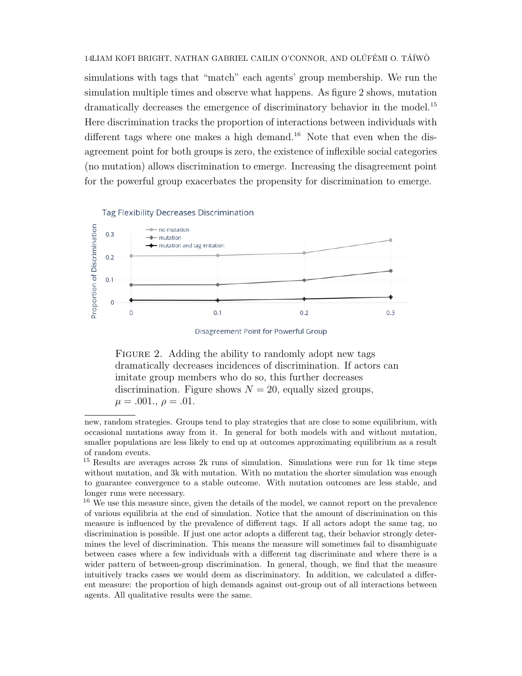simulations with tags that "match" each agents' group membership. We run the simulation multiple times and observe what happens. As figure 2 shows, mutation dramatically decreases the emergence of discriminatory behavior in the model.<sup>15</sup> Here discrimination tracks the proportion of interactions between individuals with different tags where one makes a high demand.<sup>16</sup> Note that even when the disagreement point for both groups is zero, the existence of inflexible social categories (no mutation) allows discrimination to emerge. Increasing the disagreement point for the powerful group exacerbates the propensity for discrimination to emerge.

#### **Tag Flexibility Decreases Discrimination**



Disagreement Point for Powerful Group

FIGURE 2. Adding the ability to randomly adopt new tags dramatically decreases incidences of discrimination. If actors can imitate group members who do so, this further decreases discrimination. Figure shows  $N = 20$ , equally sized groups,  $\mu = .001., \rho = .01.$ 

new, random strategies. Groups tend to play strategies that are close to some equilibrium, with occasional mutations away from it. In general for both models with and without mutation, smaller populations are less likely to end up at outcomes approximating equilibrium as a result of random events.

<sup>15</sup> Results are averages across 2k runs of simulation. Simulations were run for 1k time steps without mutation, and 3k with mutation. With no mutation the shorter simulation was enough to guarantee convergence to a stable outcome. With mutation outcomes are less stable, and longer runs were necessary.

<sup>&</sup>lt;sup>16</sup> We use this measure since, given the details of the model, we cannot report on the prevalence of various equilibria at the end of simulation. Notice that the amount of discrimination on this measure is influenced by the prevalence of different tags. If all actors adopt the same tag, no discrimination is possible. If just one actor adopts a different tag, their behavior strongly determines the level of discrimination. This means the measure will sometimes fail to disambiguate between cases where a few individuals with a different tag discriminate and where there is a wider pattern of between-group discrimination. In general, though, we find that the measure intuitively tracks cases we would deem as discriminatory. In addition, we calculated a different measure: the proportion of high demands against out-group out of all interactions between agents. All qualitative results were the same.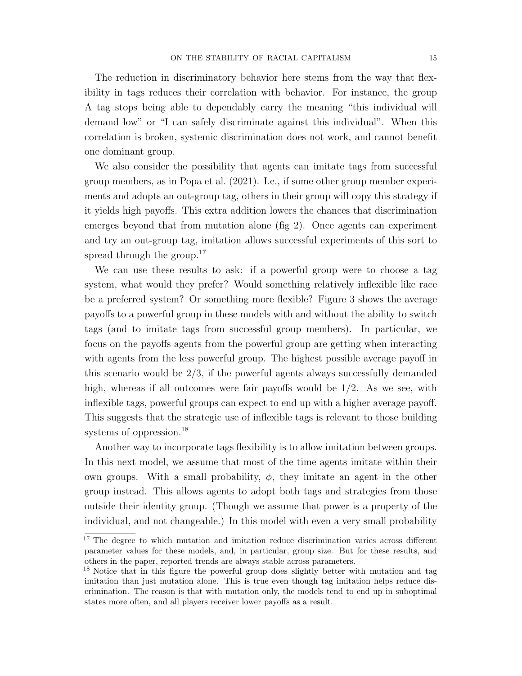The reduction in discriminatory behavior here stems from the way that flexibility in tags reduces their correlation with behavior. For instance, the group A tag stops being able to dependably carry the meaning "this individual will demand low" or "I can safely discriminate against this individual". When this correlation is broken, systemic discrimination does not work, and cannot benefit one dominant group.

We also consider the possibility that agents can imitate tags from successful group members, as in Popa et al. (2021). I.e., if some other group member experiments and adopts an out-group tag, others in their group will copy this strategy if it yields high payoffs. This extra addition lowers the chances that discrimination emerges beyond that from mutation alone (fig 2). Once agents can experiment and try an out-group tag, imitation allows successful experiments of this sort to spread through the group.<sup>17</sup>

We can use these results to ask: if a powerful group were to choose a tag system, what would they prefer? Would something relatively inflexible like race be a preferred system? Or something more flexible? Figure 3 shows the average payoffs to a powerful group in these models with and without the ability to switch tags (and to imitate tags from successful group members). In particular, we focus on the payoffs agents from the powerful group are getting when interacting with agents from the less powerful group. The highest possible average payoff in this scenario would be 2/3, if the powerful agents always successfully demanded high, whereas if all outcomes were fair payoffs would be 1/2. As we see, with inflexible tags, powerful groups can expect to end up with a higher average payoff. This suggests that the strategic use of inflexible tags is relevant to those building systems of oppression.<sup>18</sup>

Another way to incorporate tags flexibility is to allow imitation between groups. In this next model, we assume that most of the time agents imitate within their own groups. With a small probability,  $\phi$ , they imitate an agent in the other group instead. This allows agents to adopt both tags and strategies from those outside their identity group. (Though we assume that power is a property of the individual, and not changeable.) In this model with even a very small probability

<sup>&</sup>lt;sup>17</sup> The degree to which mutation and imitation reduce discrimination varies across different parameter values for these models, and, in particular, group size. But for these results, and others in the paper, reported trends are always stable across parameters.

<sup>&</sup>lt;sup>18</sup> Notice that in this figure the powerful group does slightly better with mutation and tag imitation than just mutation alone. This is true even though tag imitation helps reduce discrimination. The reason is that with mutation only, the models tend to end up in suboptimal states more often, and all players receiver lower payoffs as a result.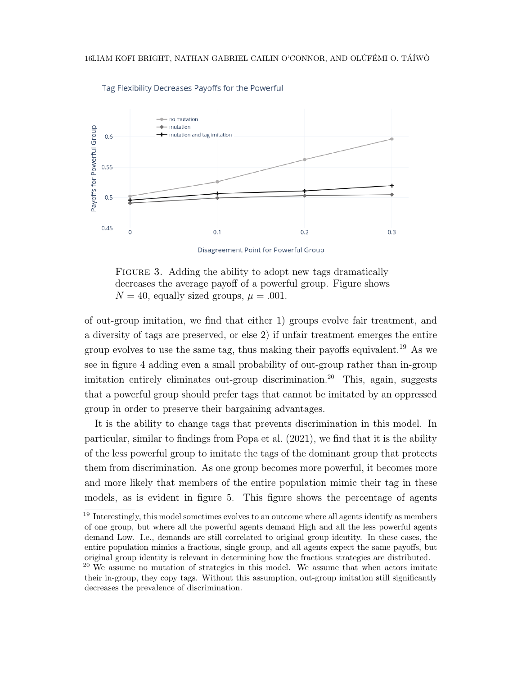

Tag Flexibility Decreases Payoffs for the Powerful

Disagreement Point for Powerful Group

FIGURE 3. Adding the ability to adopt new tags dramatically decreases the average payoff of a powerful group. Figure shows  $N = 40$ , equally sized groups,  $\mu = .001$ .

of out-group imitation, we find that either 1) groups evolve fair treatment, and a diversity of tags are preserved, or else 2) if unfair treatment emerges the entire group evolves to use the same tag, thus making their payoffs equivalent.<sup>19</sup> As we see in figure 4 adding even a small probability of out-group rather than in-group imitation entirely eliminates out-group discrimination.<sup>20</sup> This, again, suggests that a powerful group should prefer tags that cannot be imitated by an oppressed group in order to preserve their bargaining advantages.

It is the ability to change tags that prevents discrimination in this model. In particular, similar to findings from Popa et al. (2021), we find that it is the ability of the less powerful group to imitate the tags of the dominant group that protects them from discrimination. As one group becomes more powerful, it becomes more and more likely that members of the entire population mimic their tag in these models, as is evident in figure 5. This figure shows the percentage of agents

 $19$  Interestingly, this model sometimes evolves to an outcome where all agents identify as members of one group, but where all the powerful agents demand High and all the less powerful agents demand Low. I.e., demands are still correlated to original group identity. In these cases, the entire population mimics a fractious, single group, and all agents expect the same payoffs, but original group identity is relevant in determining how the fractious strategies are distributed.

 $20$  We assume no mutation of strategies in this model. We assume that when actors imitate their in-group, they copy tags. Without this assumption, out-group imitation still significantly decreases the prevalence of discrimination.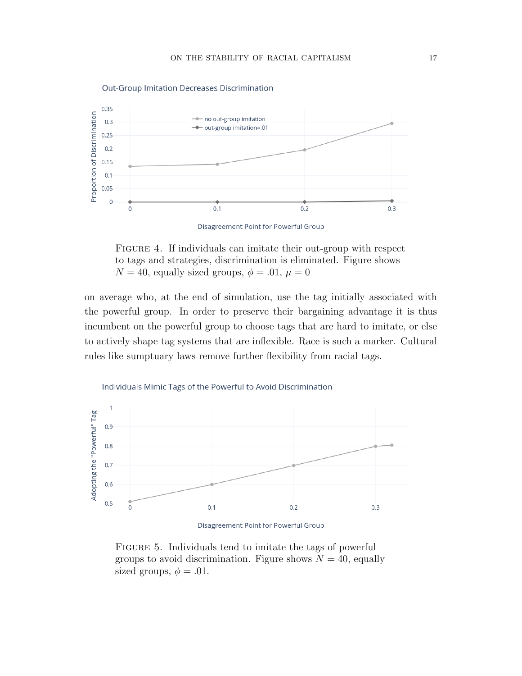

Out-Group Imitation Decreases Discrimination

Disagreement Point for Powerful Group

FIGURE 4. If individuals can imitate their out-group with respect to tags and strategies, discrimination is eliminated. Figure shows  $N = 40$ , equally sized groups,  $\phi = .01$ ,  $\mu = 0$ 

on average who, at the end of simulation, use the tag initially associated with the powerful group. In order to preserve their bargaining advantage it is thus incumbent on the powerful group to choose tags that are hard to imitate, or else to actively shape tag systems that are inflexible. Race is such a marker. Cultural rules like sumptuary laws remove further flexibility from racial tags.



Individuals Mimic Tags of the Powerful to Avoid Discrimination

Disagreement Point for Powerful Group

FIGURE 5. Individuals tend to imitate the tags of powerful groups to avoid discrimination. Figure shows  $N = 40$ , equally sized groups,  $\phi = .01$ .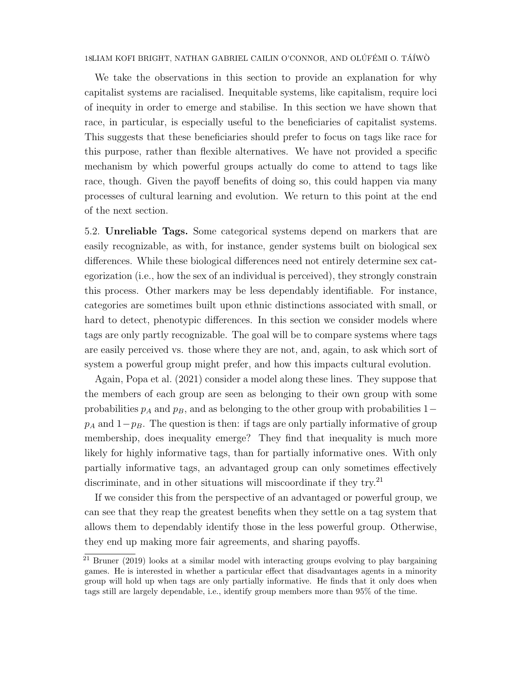We take the observations in this section to provide an explanation for why capitalist systems are racialised. Inequitable systems, like capitalism, require loci of inequity in order to emerge and stabilise. In this section we have shown that race, in particular, is especially useful to the beneficiaries of capitalist systems. This suggests that these beneficiaries should prefer to focus on tags like race for this purpose, rather than flexible alternatives. We have not provided a specific mechanism by which powerful groups actually do come to attend to tags like race, though. Given the payoff benefits of doing so, this could happen via many processes of cultural learning and evolution. We return to this point at the end of the next section.

5.2. Unreliable Tags. Some categorical systems depend on markers that are easily recognizable, as with, for instance, gender systems built on biological sex differences. While these biological differences need not entirely determine sex categorization (i.e., how the sex of an individual is perceived), they strongly constrain this process. Other markers may be less dependably identifiable. For instance, categories are sometimes built upon ethnic distinctions associated with small, or hard to detect, phenotypic differences. In this section we consider models where tags are only partly recognizable. The goal will be to compare systems where tags are easily perceived vs. those where they are not, and, again, to ask which sort of system a powerful group might prefer, and how this impacts cultural evolution.

Again, Popa et al. (2021) consider a model along these lines. They suppose that the members of each group are seen as belonging to their own group with some probabilities  $p_A$  and  $p_B$ , and as belonging to the other group with probabilities 1–  $p_A$  and  $1-p_B$ . The question is then: if tags are only partially informative of group membership, does inequality emerge? They find that inequality is much more likely for highly informative tags, than for partially informative ones. With only partially informative tags, an advantaged group can only sometimes effectively discriminate, and in other situations will miscoordinate if they try. $^{21}$ 

If we consider this from the perspective of an advantaged or powerful group, we can see that they reap the greatest benefits when they settle on a tag system that allows them to dependably identify those in the less powerful group. Otherwise, they end up making more fair agreements, and sharing payoffs.

 $\frac{21}{21}$  Bruner (2019) looks at a similar model with interacting groups evolving to play bargaining games. He is interested in whether a particular effect that disadvantages agents in a minority group will hold up when tags are only partially informative. He finds that it only does when tags still are largely dependable, i.e., identify group members more than 95% of the time.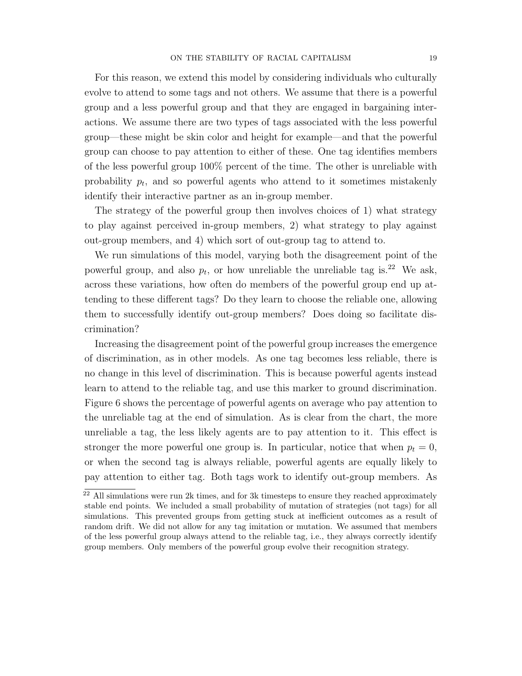For this reason, we extend this model by considering individuals who culturally evolve to attend to some tags and not others. We assume that there is a powerful group and a less powerful group and that they are engaged in bargaining interactions. We assume there are two types of tags associated with the less powerful group—these might be skin color and height for example—and that the powerful group can choose to pay attention to either of these. One tag identifies members of the less powerful group 100% percent of the time. The other is unreliable with probability  $p_t$ , and so powerful agents who attend to it sometimes mistakenly identify their interactive partner as an in-group member.

The strategy of the powerful group then involves choices of 1) what strategy to play against perceived in-group members, 2) what strategy to play against out-group members, and 4) which sort of out-group tag to attend to.

We run simulations of this model, varying both the disagreement point of the powerful group, and also  $p_t$ , or how unreliable the unreliable tag is.<sup>22</sup> We ask, across these variations, how often do members of the powerful group end up attending to these different tags? Do they learn to choose the reliable one, allowing them to successfully identify out-group members? Does doing so facilitate discrimination?

Increasing the disagreement point of the powerful group increases the emergence of discrimination, as in other models. As one tag becomes less reliable, there is no change in this level of discrimination. This is because powerful agents instead learn to attend to the reliable tag, and use this marker to ground discrimination. Figure 6 shows the percentage of powerful agents on average who pay attention to the unreliable tag at the end of simulation. As is clear from the chart, the more unreliable a tag, the less likely agents are to pay attention to it. This effect is stronger the more powerful one group is. In particular, notice that when  $p_t = 0$ , or when the second tag is always reliable, powerful agents are equally likely to pay attention to either tag. Both tags work to identify out-group members. As

 $^{22}$  All simulations were run 2k times, and for 3k timesteps to ensure they reached approximately stable end points. We included a small probability of mutation of strategies (not tags) for all simulations. This prevented groups from getting stuck at inefficient outcomes as a result of random drift. We did not allow for any tag imitation or mutation. We assumed that members of the less powerful group always attend to the reliable tag, i.e., they always correctly identify group members. Only members of the powerful group evolve their recognition strategy.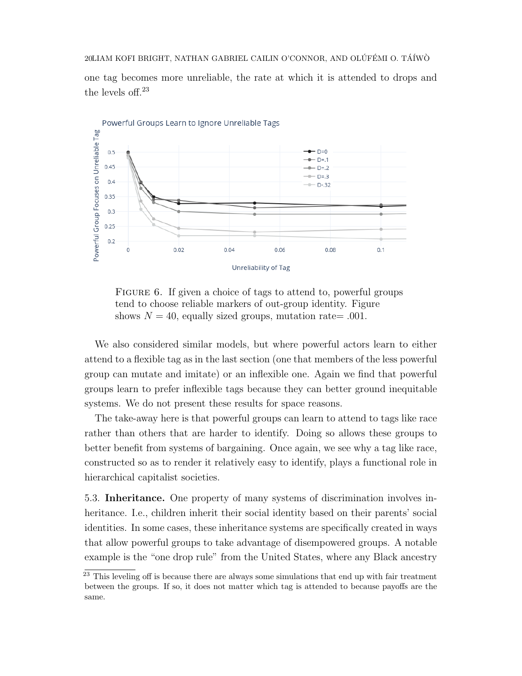one tag becomes more unreliable, the rate at which it is attended to drops and the levels off.<sup>23</sup>



FIGURE 6. If given a choice of tags to attend to, powerful groups tend to choose reliable markers of out-group identity. Figure shows  $N = 40$ , equally sized groups, mutation rate= .001.

We also considered similar models, but where powerful actors learn to either attend to a flexible tag as in the last section (one that members of the less powerful group can mutate and imitate) or an inflexible one. Again we find that powerful groups learn to prefer inflexible tags because they can better ground inequitable systems. We do not present these results for space reasons.

The take-away here is that powerful groups can learn to attend to tags like race rather than others that are harder to identify. Doing so allows these groups to better benefit from systems of bargaining. Once again, we see why a tag like race, constructed so as to render it relatively easy to identify, plays a functional role in hierarchical capitalist societies.

5.3. Inheritance. One property of many systems of discrimination involves inheritance. I.e., children inherit their social identity based on their parents' social identities. In some cases, these inheritance systems are specifically created in ways that allow powerful groups to take advantage of disempowered groups. A notable example is the "one drop rule" from the United States, where any Black ancestry

<sup>&</sup>lt;sup>23</sup> This leveling off is because there are always some simulations that end up with fair treatment between the groups. If so, it does not matter which tag is attended to because payoffs are the same.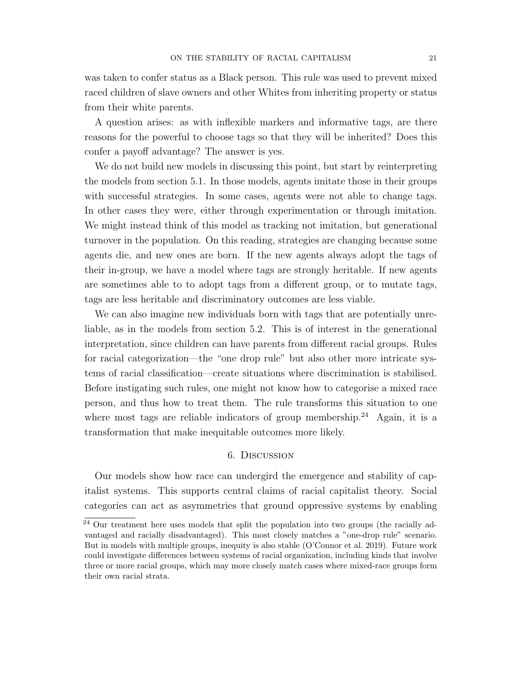was taken to confer status as a Black person. This rule was used to prevent mixed raced children of slave owners and other Whites from inheriting property or status from their white parents.

A question arises: as with inflexible markers and informative tags, are there reasons for the powerful to choose tags so that they will be inherited? Does this confer a payoff advantage? The answer is yes.

We do not build new models in discussing this point, but start by reinterpreting the models from section 5.1. In those models, agents imitate those in their groups with successful strategies. In some cases, agents were not able to change tags. In other cases they were, either through experimentation or through imitation. We might instead think of this model as tracking not imitation, but generational turnover in the population. On this reading, strategies are changing because some agents die, and new ones are born. If the new agents always adopt the tags of their in-group, we have a model where tags are strongly heritable. If new agents are sometimes able to to adopt tags from a different group, or to mutate tags, tags are less heritable and discriminatory outcomes are less viable.

We can also imagine new individuals born with tags that are potentially unreliable, as in the models from section 5.2. This is of interest in the generational interpretation, since children can have parents from different racial groups. Rules for racial categorization—the "one drop rule" but also other more intricate systems of racial classification—create situations where discrimination is stabilised. Before instigating such rules, one might not know how to categorise a mixed race person, and thus how to treat them. The rule transforms this situation to one where most tags are reliable indicators of group membership.<sup>24</sup> Again, it is a transformation that make inequitable outcomes more likely.

# 6. Discussion

Our models show how race can undergird the emergence and stability of capitalist systems. This supports central claims of racial capitalist theory. Social categories can act as asymmetries that ground oppressive systems by enabling

 $^{24}$  Our treatment here uses models that split the population into two groups (the racially advantaged and racially disadvantaged). This most closely matches a "one-drop rule" scenario. But in models with multiple groups, inequity is also stable (O'Connor et al. 2019). Future work could investigate differences between systems of racial organization, including kinds that involve three or more racial groups, which may more closely match cases where mixed-race groups form their own racial strata.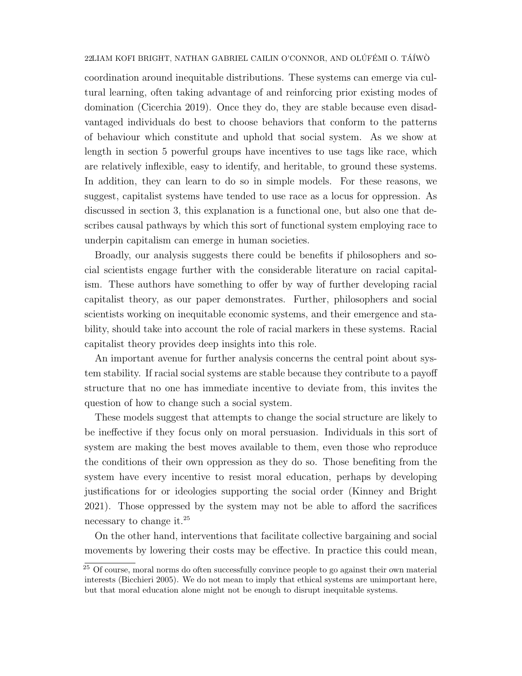coordination around inequitable distributions. These systems can emerge via cultural learning, often taking advantage of and reinforcing prior existing modes of domination (Cicerchia 2019). Once they do, they are stable because even disadvantaged individuals do best to choose behaviors that conform to the patterns of behaviour which constitute and uphold that social system. As we show at length in section 5 powerful groups have incentives to use tags like race, which are relatively inflexible, easy to identify, and heritable, to ground these systems. In addition, they can learn to do so in simple models. For these reasons, we suggest, capitalist systems have tended to use race as a locus for oppression. As discussed in section 3, this explanation is a functional one, but also one that describes causal pathways by which this sort of functional system employing race to underpin capitalism can emerge in human societies.

Broadly, our analysis suggests there could be benefits if philosophers and social scientists engage further with the considerable literature on racial capitalism. These authors have something to offer by way of further developing racial capitalist theory, as our paper demonstrates. Further, philosophers and social scientists working on inequitable economic systems, and their emergence and stability, should take into account the role of racial markers in these systems. Racial capitalist theory provides deep insights into this role.

An important avenue for further analysis concerns the central point about system stability. If racial social systems are stable because they contribute to a payoff structure that no one has immediate incentive to deviate from, this invites the question of how to change such a social system.

These models suggest that attempts to change the social structure are likely to be ineffective if they focus only on moral persuasion. Individuals in this sort of system are making the best moves available to them, even those who reproduce the conditions of their own oppression as they do so. Those benefiting from the system have every incentive to resist moral education, perhaps by developing justifications for or ideologies supporting the social order (Kinney and Bright 2021). Those oppressed by the system may not be able to afford the sacrifices necessary to change it.<sup>25</sup>

On the other hand, interventions that facilitate collective bargaining and social movements by lowering their costs may be effective. In practice this could mean,

<sup>&</sup>lt;sup>25</sup> Of course, moral norms do often successfully convince people to go against their own material interests (Bicchieri 2005). We do not mean to imply that ethical systems are unimportant here, but that moral education alone might not be enough to disrupt inequitable systems.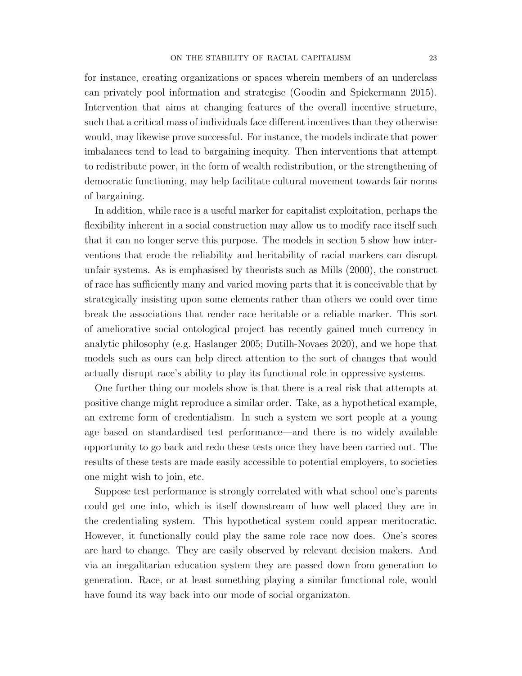for instance, creating organizations or spaces wherein members of an underclass can privately pool information and strategise (Goodin and Spiekermann 2015). Intervention that aims at changing features of the overall incentive structure, such that a critical mass of individuals face different incentives than they otherwise would, may likewise prove successful. For instance, the models indicate that power imbalances tend to lead to bargaining inequity. Then interventions that attempt to redistribute power, in the form of wealth redistribution, or the strengthening of democratic functioning, may help facilitate cultural movement towards fair norms of bargaining.

In addition, while race is a useful marker for capitalist exploitation, perhaps the flexibility inherent in a social construction may allow us to modify race itself such that it can no longer serve this purpose. The models in section 5 show how interventions that erode the reliability and heritability of racial markers can disrupt unfair systems. As is emphasised by theorists such as Mills (2000), the construct of race has sufficiently many and varied moving parts that it is conceivable that by strategically insisting upon some elements rather than others we could over time break the associations that render race heritable or a reliable marker. This sort of ameliorative social ontological project has recently gained much currency in analytic philosophy (e.g. Haslanger 2005; Dutilh-Novaes 2020), and we hope that models such as ours can help direct attention to the sort of changes that would actually disrupt race's ability to play its functional role in oppressive systems.

One further thing our models show is that there is a real risk that attempts at positive change might reproduce a similar order. Take, as a hypothetical example, an extreme form of credentialism. In such a system we sort people at a young age based on standardised test performance—and there is no widely available opportunity to go back and redo these tests once they have been carried out. The results of these tests are made easily accessible to potential employers, to societies one might wish to join, etc.

Suppose test performance is strongly correlated with what school one's parents could get one into, which is itself downstream of how well placed they are in the credentialing system. This hypothetical system could appear meritocratic. However, it functionally could play the same role race now does. One's scores are hard to change. They are easily observed by relevant decision makers. And via an inegalitarian education system they are passed down from generation to generation. Race, or at least something playing a similar functional role, would have found its way back into our mode of social organizaton.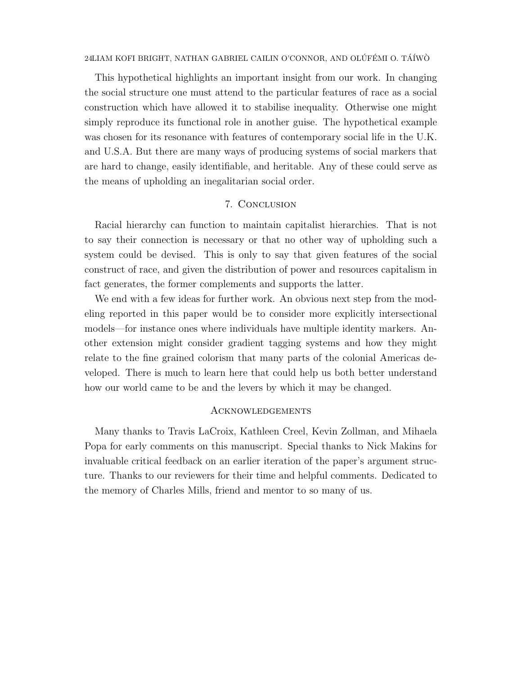This hypothetical highlights an important insight from our work. In changing the social structure one must attend to the particular features of race as a social construction which have allowed it to stabilise inequality. Otherwise one might simply reproduce its functional role in another guise. The hypothetical example was chosen for its resonance with features of contemporary social life in the U.K. and U.S.A. But there are many ways of producing systems of social markers that are hard to change, easily identifiable, and heritable. Any of these could serve as the means of upholding an inegalitarian social order.

# 7. Conclusion

Racial hierarchy can function to maintain capitalist hierarchies. That is not to say their connection is necessary or that no other way of upholding such a system could be devised. This is only to say that given features of the social construct of race, and given the distribution of power and resources capitalism in fact generates, the former complements and supports the latter.

We end with a few ideas for further work. An obvious next step from the modeling reported in this paper would be to consider more explicitly intersectional models—for instance ones where individuals have multiple identity markers. Another extension might consider gradient tagging systems and how they might relate to the fine grained colorism that many parts of the colonial Americas developed. There is much to learn here that could help us both better understand how our world came to be and the levers by which it may be changed.

# Acknowledgements

Many thanks to Travis LaCroix, Kathleen Creel, Kevin Zollman, and Mihaela Popa for early comments on this manuscript. Special thanks to Nick Makins for invaluable critical feedback on an earlier iteration of the paper's argument structure. Thanks to our reviewers for their time and helpful comments. Dedicated to the memory of Charles Mills, friend and mentor to so many of us.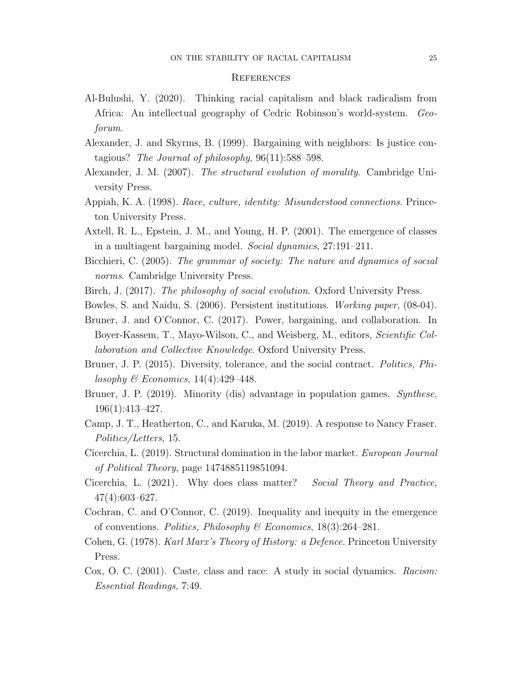#### **REFERENCES**

- Al-Bulushi, Y. (2020). Thinking racial capitalism and black radicalism from Africa: An intellectual geography of Cedric Robinson's world-system. Geoforum.
- Alexander, J. and Skyrms, B. (1999). Bargaining with neighbors: Is justice contagious? The Journal of philosophy,  $96(11):588-598$ .
- Alexander, J. M. (2007). The structural evolution of morality. Cambridge University Press.
- Appiah, K. A. (1998). Race, culture, identity: Misunderstood connections. Princeton University Press.
- Axtell, R. L., Epstein, J. M., and Young, H. P. (2001). The emergence of classes in a multiagent bargaining model. Social dynamics, 27:191–211.
- Bicchieri, C. (2005). The grammar of society: The nature and dynamics of social norms. Cambridge University Press.
- Birch, J. (2017). The philosophy of social evolution. Oxford University Press.
- Bowles, S. and Naidu, S. (2006). Persistent institutions. Working paper, (08-04).
- Bruner, J. and O'Connor, C. (2017). Power, bargaining, and collaboration. In Boyer-Kassem, T., Mayo-Wilson, C., and Weisberg, M., editors, Scientific Collaboration and Collective Knowledge. Oxford University Press.
- Bruner, J. P. (2015). Diversity, tolerance, and the social contract. Politics, Philosophy  $\mathcal B$  Economics, 14(4):429–448.
- Bruner, J. P. (2019). Minority (dis) advantage in population games. Synthese, 196(1):413–427.
- Camp, J. T., Heatherton, C., and Karuka, M. (2019). A response to Nancy Fraser. Politics/Letters, 15.
- Cicerchia, L. (2019). Structural domination in the labor market. European Journal of Political Theory, page 1474885119851094.
- Cicerchia, L. (2021). Why does class matter? Social Theory and Practice, 47(4):603–627.
- Cochran, C. and O'Connor, C. (2019). Inequality and inequity in the emergence of conventions. Politics, Philosophy & Economics, 18(3):264–281.
- Cohen, G. (1978). Karl Marx's Theory of History: a Defence. Princeton University Press.
- Cox, O. C. (2001). Caste, class and race: A study in social dynamics. Racism: Essential Readings, 7:49.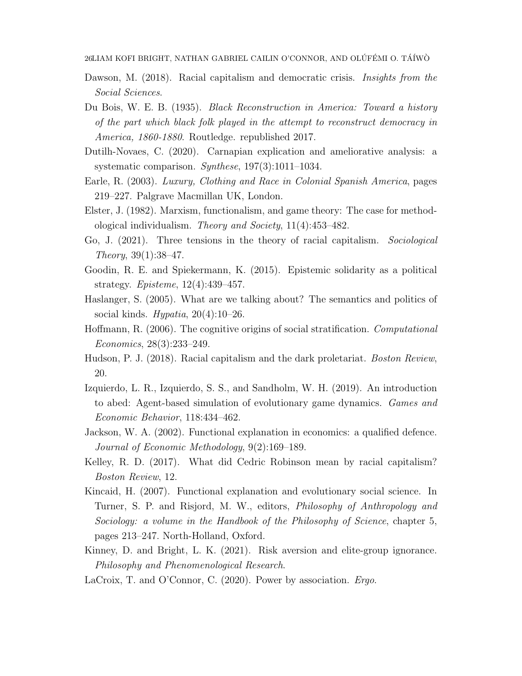- Dawson, M. (2018). Racial capitalism and democratic crisis. *Insights from the* Social Sciences.
- Du Bois, W. E. B. (1935). Black Reconstruction in America: Toward a history of the part which black folk played in the attempt to reconstruct democracy in America, 1860-1880. Routledge. republished 2017.
- Dutilh-Novaes, C. (2020). Carnapian explication and ameliorative analysis: a systematic comparison. Synthese, 197(3):1011–1034.
- Earle, R. (2003). Luxury, Clothing and Race in Colonial Spanish America, pages 219–227. Palgrave Macmillan UK, London.
- Elster, J. (1982). Marxism, functionalism, and game theory: The case for methodological individualism. Theory and Society, 11(4):453–482.
- Go, J. (2021). Three tensions in the theory of racial capitalism. Sociological Theory, 39(1):38–47.
- Goodin, R. E. and Spiekermann, K. (2015). Epistemic solidarity as a political strategy. Episteme, 12(4):439–457.
- Haslanger, S. (2005). What are we talking about? The semantics and politics of social kinds. Hypatia,  $20(4):10-26$ .
- Hoffmann, R. (2006). The cognitive origins of social stratification. Computational Economics, 28(3):233–249.
- Hudson, P. J. (2018). Racial capitalism and the dark proletariat. Boston Review, 20.
- Izquierdo, L. R., Izquierdo, S. S., and Sandholm, W. H. (2019). An introduction to abed: Agent-based simulation of evolutionary game dynamics. Games and Economic Behavior, 118:434–462.
- Jackson, W. A. (2002). Functional explanation in economics: a qualified defence. Journal of Economic Methodology, 9(2):169–189.
- Kelley, R. D. (2017). What did Cedric Robinson mean by racial capitalism? Boston Review, 12.
- Kincaid, H. (2007). Functional explanation and evolutionary social science. In Turner, S. P. and Risjord, M. W., editors, Philosophy of Anthropology and Sociology: a volume in the Handbook of the Philosophy of Science, chapter 5, pages 213–247. North-Holland, Oxford.
- Kinney, D. and Bright, L. K. (2021). Risk aversion and elite-group ignorance. Philosophy and Phenomenological Research.
- LaCroix, T. and O'Connor, C. (2020). Power by association. *Ergo.*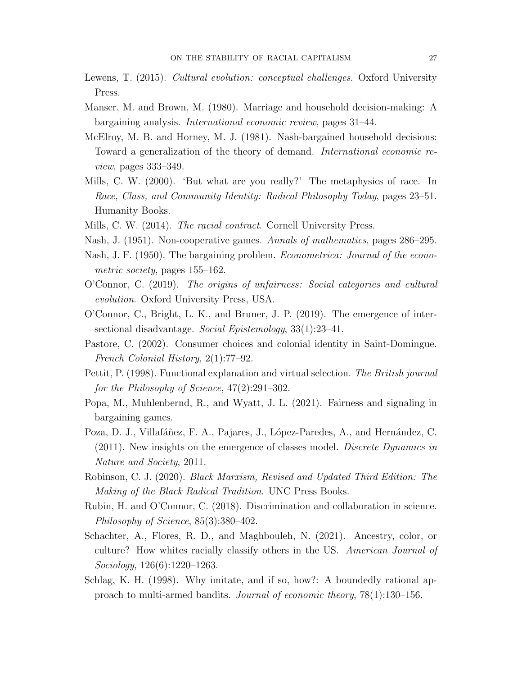- Lewens, T. (2015). Cultural evolution: conceptual challenges. Oxford University Press.
- Manser, M. and Brown, M. (1980). Marriage and household decision-making: A bargaining analysis. International economic review, pages 31–44.
- McElroy, M. B. and Horney, M. J. (1981). Nash-bargained household decisions: Toward a generalization of the theory of demand. International economic review, pages 333–349.
- Mills, C. W. (2000). 'But what are you really?' The metaphysics of race. In Race, Class, and Community Identity: Radical Philosophy Today, pages 23–51. Humanity Books.
- Mills, C. W. (2014). The racial contract. Cornell University Press.
- Nash, J. (1951). Non-cooperative games. Annals of mathematics, pages 286–295.
- Nash, J. F. (1950). The bargaining problem. Econometrica: Journal of the econometric society, pages 155–162.
- O'Connor, C. (2019). The origins of unfairness: Social categories and cultural evolution. Oxford University Press, USA.
- O'Connor, C., Bright, L. K., and Bruner, J. P. (2019). The emergence of intersectional disadvantage. Social Epistemology, 33(1):23–41.
- Pastore, C. (2002). Consumer choices and colonial identity in Saint-Domingue. French Colonial History, 2(1):77–92.
- Pettit, P. (1998). Functional explanation and virtual selection. The British journal for the Philosophy of Science, 47(2):291–302.
- Popa, M., Muhlenbernd, R., and Wyatt, J. L. (2021). Fairness and signaling in bargaining games.
- Poza, D. J., Villafáñez, F. A., Pajares, J., López-Paredes, A., and Hernández, C. (2011). New insights on the emergence of classes model. Discrete Dynamics in Nature and Society, 2011.
- Robinson, C. J. (2020). Black Marxism, Revised and Updated Third Edition: The Making of the Black Radical Tradition. UNC Press Books.
- Rubin, H. and O'Connor, C. (2018). Discrimination and collaboration in science. Philosophy of Science, 85(3):380–402.
- Schachter, A., Flores, R. D., and Maghbouleh, N. (2021). Ancestry, color, or culture? How whites racially classify others in the US. American Journal of Sociology, 126(6):1220–1263.
- Schlag, K. H. (1998). Why imitate, and if so, how?: A boundedly rational approach to multi-armed bandits. Journal of economic theory, 78(1):130–156.